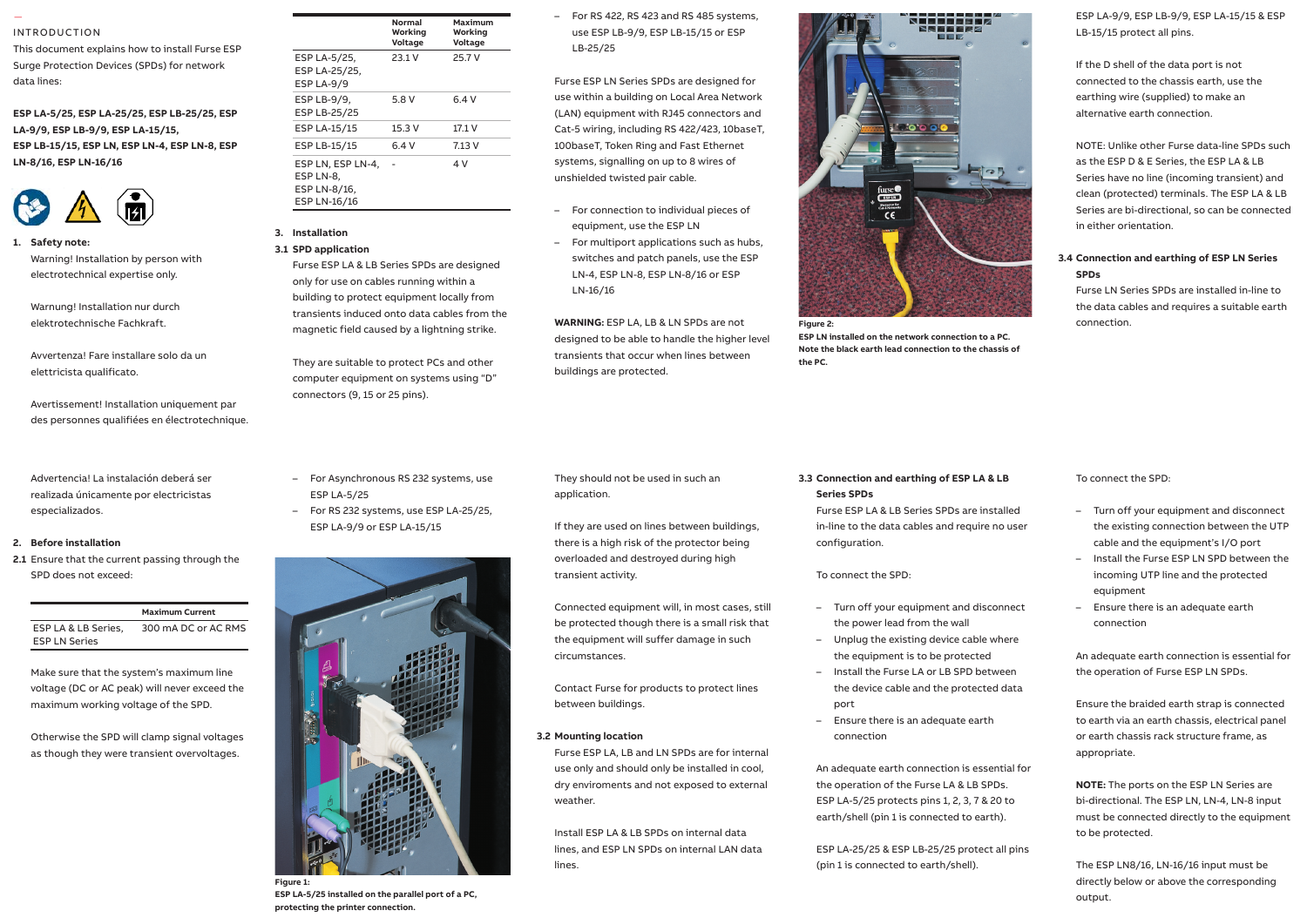#### INTRODUCTION

—

This document explains how to install Furse ESP Surge Protection Devices (SPDs) for network data lines:

#### **ESP LA-5/25, ESP LA-25/25, ESP LB-25/25, ESP LA-9/9, ESP LB-9/9, ESP LA-15/15,**  Installation instructions **ESP LB-15/15, ESP LN, ESP LN-4, ESP LN-8, ESP LN-8/16, ESP LN-16/16** LA-9/9, ESP LB-9/9, ESP LA-15/15,



**1. Safety note:** Safety note: Warning! Installation by person with electrotechnical expertise only.  $\mathbf{v}$ 

Warnung! Installation nur durch elektrotechnische Fachkraft. 1.6 Provide a means of isolation for the

Avvertenza! Fare installare solo da un elettricista qualificato.

 Avertissement! Installation uniquement par and comply with all relevant Regulations and Legislation (including BS 7671 Wiring (terminals can accept up to 25 mm2). des personnes qualifiées en électrotechnique.

realizada únicamente por electricistas especializados. and display. Advertencia! La instalación deberá ser 1.11 Maximum torque for power terminals is

#### 2. Before installation

Installation Instructions for Main $\mathcal{L}$ SPD does not exceed: **2.1** Ensure that the current passing through the

**Maximum Current** ESP LA & LB Series, ESP LN Series 300 mA DC or AC RMS

Make sure that the system's maximum line voltage (DC or AC peak) will never exceed the maximum working voltage of the SPD.

Otherwise the SPD will clamp signal voltages as though they were transient overvoltages.

| nstall Furse ESP<br>for network |                                                                | Normal<br>Working<br>Voltage | Maximum<br>Working<br>Voltage |
|---------------------------------|----------------------------------------------------------------|------------------------------|-------------------------------|
|                                 | ESP LA-5/25,<br>ESP LA-25/25,<br><b>ESP LA-9/9</b>             | 23.1V                        | 25.7 V                        |
| LB-25/25, ESP<br>15.            | ESP LB-9/9,<br>ESP LB-25/25                                    | 5.8 V                        | 6.4V                          |
|                                 | ESP LA-15/15                                                   | 15.3 V                       | 17.1 V                        |
| , ESP LN-8, ESP                 | ESP LB-15/15                                                   | 6.4V                         | 7.13 V                        |
|                                 | ESP LN, ESP LN-4,<br>ESP LN-8.<br>ESP LN-8/16,<br>ESP LN-16/16 |                              | 4 V                           |

# **3. Installation**

### **3.1 SPD application**

Furse ESP LA & LB Series SPDs are designed only for use on cables running within a building to protect equipment locally from transients induced onto data cables from the magnetic field caused by a lightning strike.

They are suitable to protect PCs and other computer equipment on systems using "D" connectors (9, 15 or 25 pins).  $1.8$  Connecting leads shown be 10  $\mu$ 

- For Asynchronous RS 232 systems, use ESP LA-5/25
- For RS 232 systems, use ESP LA-25/25, ESP LA-9/9 or ESP LA-15/15



**ESP LA-5/25 installed on the parallel port of a PC, protecting the printer connection.**

## – For RS 422, RS 423 and RS 485 systems, use ESP LB-9/9, ESP LB-15/15 or ESP LB-25/25

Furse ESP LN Series SPDs are designed for use within a building on Local Area Network (LAN) equipment with RJ45 connectors and Cat-5 wiring, including RS 422/423, 10baseT, 100baseT, Token Ring and Fast Ethernet systems, signalling on up to 8 wires of unshielded twisted pair cable.

- For connection to individual pieces of equipment, use the ESP LN
- For multiport applications such as hubs, switches and patch panels, use the ESP LN-4, ESP LN-8, ESP LN-8/16 or ESP LN-16/16

**WARNING:** ESP LA, LB & LN SPDs are not designed to be able to handle the higher level transients that occur when lines between buildings are protected.



**ESP LN installed on the network connection to a PC. Note the black earth lead connection to the chassis of the PC.**

# ESP LA-9/9, ESP LB-9/9, ESP LA-15/15 & ESP LB-15/15 protect all pins.

If the D shell of the data port is not connected to the chassis earth, use the earthing wire (supplied) to make an alternative earth connection.

NOTE: Unlike other Furse data-line SPDs such as the ESP D & E Series, the ESP LA & LB Series have no line (incoming transient) and clean (protected) terminals. The ESP LA & LB Series are bi-directional, so can be connected in either orientation.

# **3.4 Connection and earthing of ESP LN Series SPDs**

Furse LN Series SPDs are installed in-line to the data cables and requires a suitable earth connection.

# They should not be used in such an

If they are used on lines between buildings, there is a high risk of the protector being overloaded and destroyed during high transient activity.

Connected equipment will, in most cases, still be protected though there is a small risk that the equipment will suffer damage in such circumstances.

Contact Furse for products to protect lines between buildings.

#### **3.2 Mounting location**

application.

Furse ESP LA, LB and LN SPDs are for internal use only and should only be installed in cool, dry enviroments and not exposed to external weather.

Install ESP LA & LB SPDs on internal data lines, and ESP LN SPDs on internal LAN data lines.

# **3.3 Connection and earthing of ESP LA & LB Series SPDs**

Furse ESP LA & LB Series SPDs are installed in-line to the data cables and require no user configuration.

To connect the SPD:

- Turn off your equipment and disconnect the power lead from the wall
- Unplug the existing device cable where the equipment is to be protected
- Install the Furse LA or LB SPD between the device cable and the protected data port
- Ensure there is an adequate earth connection

An adequate earth connection is essential for the operation of the Furse LA & LB SPDs. ESP LA-5/25 protects pins 1, 2, 3, 7 & 20 to earth/shell (pin 1 is connected to earth).

ESP LA-25/25 & ESP LB-25/25 protect all pins (pin 1 is connected to earth/shell).

#### To connect the SPD:

- Turn off your equipment and disconnect the existing connection between the UTP cable and the equipment's I/O port
- Install the Furse ESP LN SPD between the incoming UTP line and the protected equipment
- Ensure there is an adequate earth connection

An adequate earth connection is essential for the operation of Furse ESP LN SPDs.

Ensure the braided earth strap is connected to earth via an earth chassis, electrical panel or earth chassis rack structure frame, as appropriate.

**NOTE:** The ports on the ESP LN Series are bi-directional. The ESP LN, LN-4, LN-8 input must be connected directly to the equipment to be protected.

The ESP LN8/16, LN-16/16 input must be directly below or above the corresponding output.